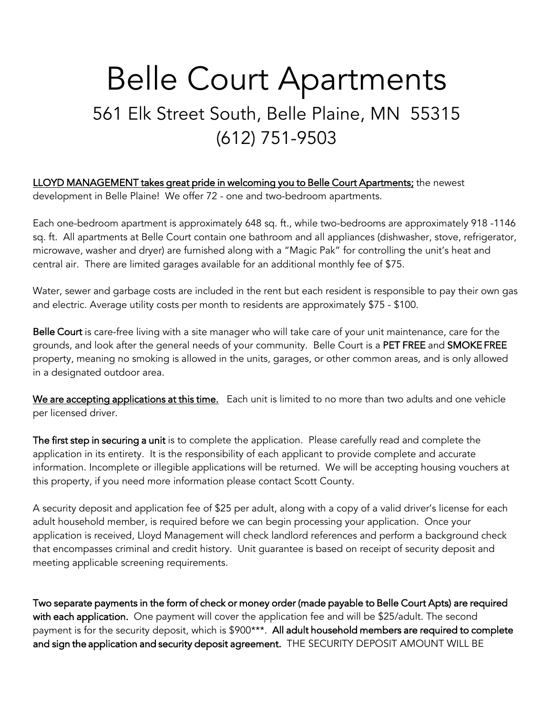# Belle Court Apartments 561 Elk Street South, Belle Plaine, MN 55315 (612) 751-9503

LLOYD MANAGEMENT takes great pride in welcoming you to Belle Court Apartments; the newest development in Belle Plaine! We offer 72 - one and two-bedroom apartments.

Each one-bedroom apartment is approximately 648 sq. ft., while two-bedrooms are approximately 918 -1146 sq. ft. All apartments at Belle Court contain one bathroom and all appliances (dishwasher, stove, refrigerator, microwave, washer and dryer) are furnished along with a "Magic Pak" for controlling the unit's heat and central air. There are limited garages available for an additional monthly fee of \$75.

Water, sewer and garbage costs are included in the rent but each resident is responsible to pay their own gas and electric. Average utility costs per month to residents are approximately \$75 - \$100.

Belle Court is care-free living with a site manager who will take care of your unit maintenance, care for the grounds, and look after the general needs of your community. Belle Court is a PET FREE and SMOKE FREE property, meaning no smoking is allowed in the units, garages, or other common areas, and is only allowed in a designated outdoor area.

We are accepting applications at this time. Each unit is limited to no more than two adults and one vehicle per licensed driver.

The first step in securing a unit is to complete the application. Please carefully read and complete the application in its entirety. It is the responsibility of each applicant to provide complete and accurate information. Incomplete or illegible applications will be returned. We will be accepting housing vouchers at this property, if you need more information please contact Scott County.

A security deposit and application fee of \$25 per adult, along with a copy of a valid driver's license for each adult household member, is required before we can begin processing your application. Once your application is received, Lloyd Management will check landlord references and perform a background check that encompasses criminal and credit history. Unit guarantee is based on receipt of security deposit and meeting applicable screening requirements.

Two separate payments in the form of check or money order (made payable to Belle Court Apts) are required with each application. One payment will cover the application fee and will be \$25/adult. The second payment is for the security deposit, which is \$900\*\*\*. All adult household members are required to complete and sign the application and security deposit agreement. THE SECURITY DEPOSIT AMOUNT WILL BE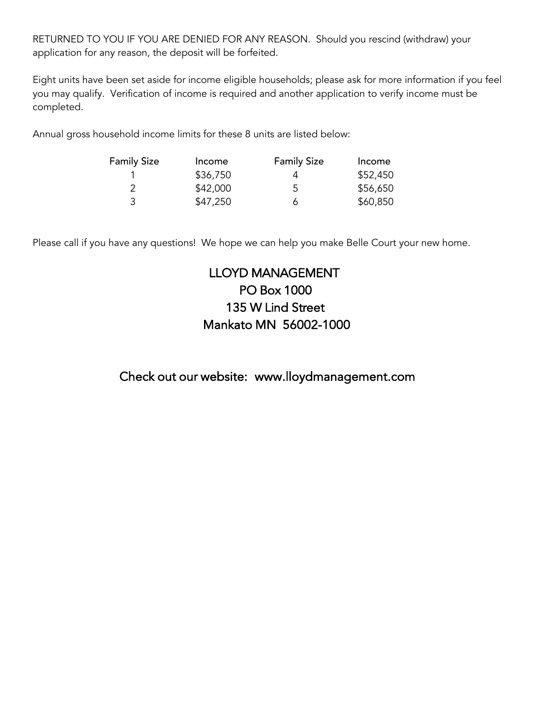RETURNED TO YOU IF YOU ARE DENIED FOR ANY REASON. Should you rescind (withdraw) your application for any reason, the deposit will be forfeited.

Eight units have been set aside for income eligible households; please ask for more information if you feel you may qualify. Verification of income is required and another application to verify income must be completed.

Annual gross household income limits for these 8 units are listed below:

| <b>Family Size</b> | Income   | <b>Family Size</b> | Income   |
|--------------------|----------|--------------------|----------|
|                    | \$36,750 | 4                  | \$52,450 |
|                    | \$42,000 | 5                  | \$56,650 |
| 3                  | \$47,250 | 6                  | \$60,850 |

Please call if you have any questions! We hope we can help you make Belle Court your new home.

# LLOYD MANAGEMENT PO Box 1000 135 W Lind Street Mankato MN 56002-1000

Check out our website: www.lloydmanagement.com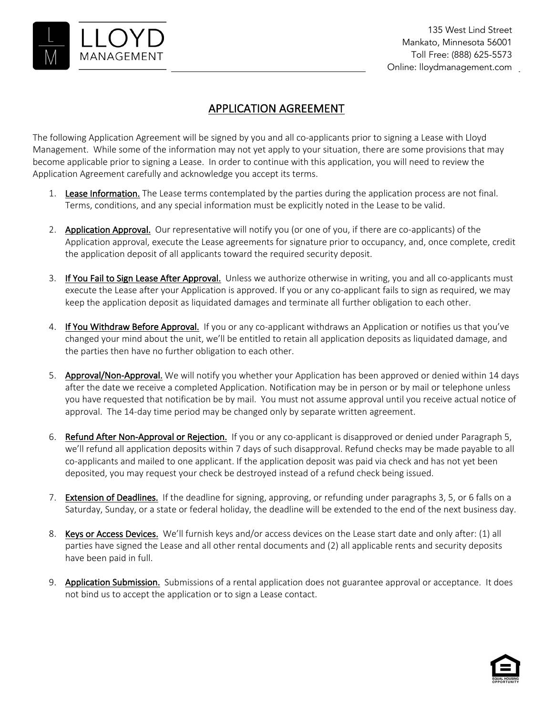

### APPLICATION AGREEMENT

The following Application Agreement will be signed by you and all co-applicants prior to signing a Lease with Lloyd Management. While some of the information may not yet apply to your situation, there are some provisions that may become applicable prior to signing a Lease. In order to continue with this application, you will need to review the Application Agreement carefully and acknowledge you accept its terms.

- 1. Lease Information. The Lease terms contemplated by the parties during the application process are not final. Terms, conditions, and any special information must be explicitly noted in the Lease to be valid.
- 2. Application Approval. Our representative will notify you (or one of you, if there are co-applicants) of the Application approval, execute the Lease agreements for signature prior to occupancy, and, once complete, credit the application deposit of all applicants toward the required security deposit.
- 3. If You Fail to Sign Lease After Approval. Unless we authorize otherwise in writing, you and all co-applicants must execute the Lease after your Application is approved. If you or any co-applicant fails to sign as required, we may keep the application deposit as liquidated damages and terminate all further obligation to each other.
- 4. If You Withdraw Before Approval. If you or any co-applicant withdraws an Application or notifies us that you've changed your mind about the unit, we'll be entitled to retain all application deposits as liquidated damage, and the parties then have no further obligation to each other.
- 5. Approval/Non-Approval. We will notify you whether your Application has been approved or denied within 14 days after the date we receive a completed Application. Notification may be in person or by mail or telephone unless you have requested that notification be by mail. You must not assume approval until you receive actual notice of approval. The 14-day time period may be changed only by separate written agreement.
- 6. Refund After Non-Approval or Rejection. If you or any co-applicant is disapproved or denied under Paragraph 5, we'll refund all application deposits within 7 days of such disapproval. Refund checks may be made payable to all co-applicants and mailed to one applicant. If the application deposit was paid via check and has not yet been deposited, you may request your check be destroyed instead of a refund check being issued.
- 7. Extension of Deadlines. If the deadline for signing, approving, or refunding under paragraphs 3, 5, or 6 falls on a Saturday, Sunday, or a state or federal holiday, the deadline will be extended to the end of the next business day.
- 8. Keys or Access Devices. We'll furnish keys and/or access devices on the Lease start date and only after: (1) all parties have signed the Lease and all other rental documents and (2) all applicable rents and security deposits have been paid in full.
- 9. Application Submission. Submissions of a rental application does not guarantee approval or acceptance. It does not bind us to accept the application or to sign a Lease contact.

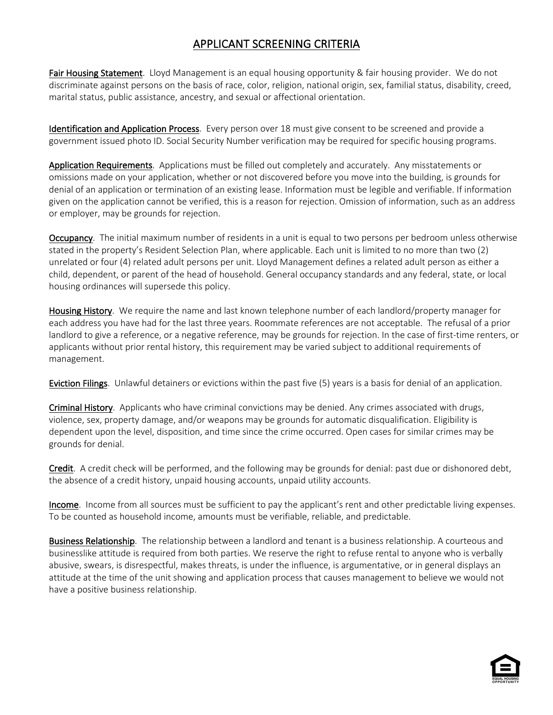# APPLICANT SCREENING CRITERIA

Fair Housing Statement. Lloyd Management is an equal housing opportunity & fair housing provider. We do not discriminate against persons on the basis of race, color, religion, national origin, sex, familial status, disability, creed, marital status, public assistance, ancestry, and sexual or affectional orientation.

Identification and Application Process. Every person over 18 must give consent to be screened and provide a government issued photo ID. Social Security Number verification may be required for specific housing programs.

Application Requirements. Applications must be filled out completely and accurately. Any misstatements or omissions made on your application, whether or not discovered before you move into the building, is grounds for denial of an application or termination of an existing lease. Information must be legible and verifiable. If information given on the application cannot be verified, this is a reason for rejection. Omission of information, such as an address or employer, may be grounds for rejection.

Occupancy. The initial maximum number of residents in a unit is equal to two persons per bedroom unless otherwise stated in the property's Resident Selection Plan, where applicable. Each unit is limited to no more than two (2) unrelated or four (4) related adult persons per unit. Lloyd Management defines a related adult person as either a child, dependent, or parent of the head of household. General occupancy standards and any federal, state, or local housing ordinances will supersede this policy.

Housing History. We require the name and last known telephone number of each landlord/property manager for each address you have had for the last three years. Roommate references are not acceptable. The refusal of a prior landlord to give a reference, or a negative reference, may be grounds for rejection. In the case of first-time renters, or applicants without prior rental history, this requirement may be varied subject to additional requirements of management.

Eviction Filings. Unlawful detainers or evictions within the past five (5) years is a basis for denial of an application.

Criminal History. Applicants who have criminal convictions may be denied. Any crimes associated with drugs, violence, sex, property damage, and/or weapons may be grounds for automatic disqualification. Eligibility is dependent upon the level, disposition, and time since the crime occurred. Open cases for similar crimes may be grounds for denial.

Credit. A credit check will be performed, and the following may be grounds for denial: past due or dishonored debt, the absence of a credit history, unpaid housing accounts, unpaid utility accounts.

Income. Income from all sources must be sufficient to pay the applicant's rent and other predictable living expenses. To be counted as household income, amounts must be verifiable, reliable, and predictable.

Business Relationship. The relationship between a landlord and tenant is a business relationship. A courteous and businesslike attitude is required from both parties. We reserve the right to refuse rental to anyone who is verbally abusive, swears, is disrespectful, makes threats, is under the influence, is argumentative, or in general displays an attitude at the time of the unit showing and application process that causes management to believe we would not have a positive business relationship.

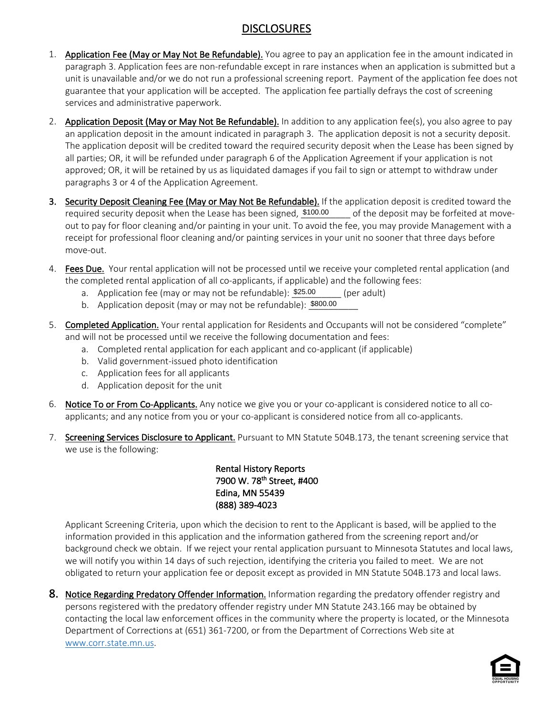### DISCLOSURES

- 1. Application Fee (May or May Not Be Refundable). You agree to pay an application fee in the amount indicated in paragraph 3. Application fees are non-refundable except in rare instances when an application is submitted but a unit is unavailable and/or we do not run a professional screening report. Payment of the application fee does not guarantee that your application will be accepted. The application fee partially defrays the cost of screening services and administrative paperwork.
- 2. Application Deposit (May or May Not Be Refundable). In addition to any application fee(s), you also agree to pay an application deposit in the amount indicated in paragraph 3. The application deposit is not a security deposit. The application deposit will be credited toward the required security deposit when the Lease has been signed by all parties; OR, it will be refunded under paragraph 6 of the Application Agreement if your application is not approved; OR, it will be retained by us as liquidated damages if you fail to sign or attempt to withdraw under paragraphs 3 or 4 of the Application Agreement.
- 3. Security Deposit Cleaning Fee (May or May Not Be Refundable). If the application deposit is credited toward the required security deposit when the Lease has been signed,  $$100.00$  of the deposit may be forfeited at moveout to pay for floor cleaning and/or painting in your unit. To avoid the fee, you may provide Management with a receipt for professional floor cleaning and/or painting services in your unit no sooner that three days before move-out.
- 4. Fees Due. Your rental application will not be processed until we receive your completed rental application (and the completed rental application of all co-applicants, if applicable) and the following fees:
	- a. Application fee (may or may not be refundable):  $$25.00$  (per adult)
	- a. Application fee (may or may not be refundable): <u>\$25.00 [pe</u>l<br>b. Application deposit (may or may not be refundable): <u>\$800.00</u>
- 5. Completed Application. Your rental application for Residents and Occupants will not be considered "complete" and will not be processed until we receive the following documentation and fees:
	- a. Completed rental application for each applicant and co-applicant (if applicable)
	- b. Valid government-issued photo identification
	- c. Application fees for all applicants
	- d. Application deposit for the unit
- 6. Notice To or From Co-Applicants. Any notice we give you or your co-applicant is considered notice to all coapplicants; and any notice from you or your co-applicant is considered notice from all co-applicants.
- 7. Screening Services Disclosure to Applicant. Pursuant to MN Statute 504B.173, the tenant screening service that we use is the following:

Rental History Reports 7900 W. 78<sup>th</sup> Street, #400 Edina, MN 55439 (888) 389-4023

Applicant Screening Criteria, upon which the decision to rent to the Applicant is based, will be applied to the information provided in this application and the information gathered from the screening report and/or background check we obtain. If we reject your rental application pursuant to Minnesota Statutes and local laws, we will notify you within 14 days of such rejection, identifying the criteria you failed to meet. We are not obligated to return your application fee or deposit except as provided in MN Statute 504B.173 and local laws.

8. Notice Regarding Predatory Offender Information. Information regarding the predatory offender registry and persons registered with the predatory offender registry under MN Statute 243.166 may be obtained by contacting the local law enforcement offices in the community where the property is located, or the Minnesota Department of Corrections at (651) 361-7200, or from the Department of Corrections Web site at www.corr.state.mn.us.

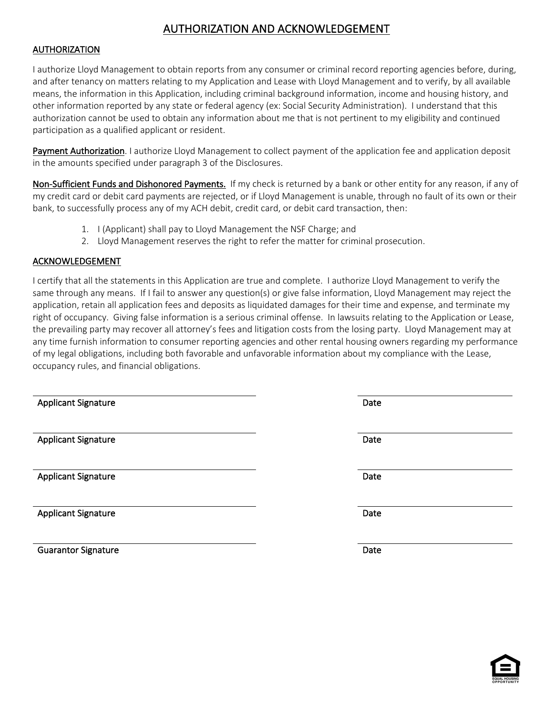# AUTHORIZATION AND ACKNOWLEDGEMENT

### AUTHORIZATION

I authorize Lloyd Management to obtain reports from any consumer or criminal record reporting agencies before, during, and after tenancy on matters relating to my Application and Lease with Lloyd Management and to verify, by all available means, the information in this Application, including criminal background information, income and housing history, and other information reported by any state or federal agency (ex: Social Security Administration). I understand that this authorization cannot be used to obtain any information about me that is not pertinent to my eligibility and continued participation as a qualified applicant or resident.

Payment Authorization. I authorize Lloyd Management to collect payment of the application fee and application deposit in the amounts specified under paragraph 3 of the Disclosures.

Non-Sufficient Funds and Dishonored Payments. If my check is returned by a bank or other entity for any reason, if any of my credit card or debit card payments are rejected, or if Lloyd Management is unable, through no fault of its own or their bank, to successfully process any of my ACH debit, credit card, or debit card transaction, then:

- 1. I (Applicant) shall pay to Lloyd Management the NSF Charge; and
- 2. Lloyd Management reserves the right to refer the matter for criminal prosecution.

### ACKNOWLEDGEMENT

I certify that all the statements in this Application are true and complete. I authorize Lloyd Management to verify the same through any means. If I fail to answer any question(s) or give false information, Lloyd Management may reject the application, retain all application fees and deposits as liquidated damages for their time and expense, and terminate my right of occupancy. Giving false information is a serious criminal offense. In lawsuits relating to the Application or Lease, the prevailing party may recover all attorney's fees and litigation costs from the losing party. Lloyd Management may at any time furnish information to consumer reporting agencies and other rental housing owners regarding my performance of my legal obligations, including both favorable and unfavorable information about my compliance with the Lease, occupancy rules, and financial obligations.

| <b>Applicant Signature</b> | Date |
|----------------------------|------|
| <b>Applicant Signature</b> | Date |
| <b>Applicant Signature</b> | Date |
| <b>Applicant Signature</b> | Date |
| <b>Guarantor Signature</b> | Date |

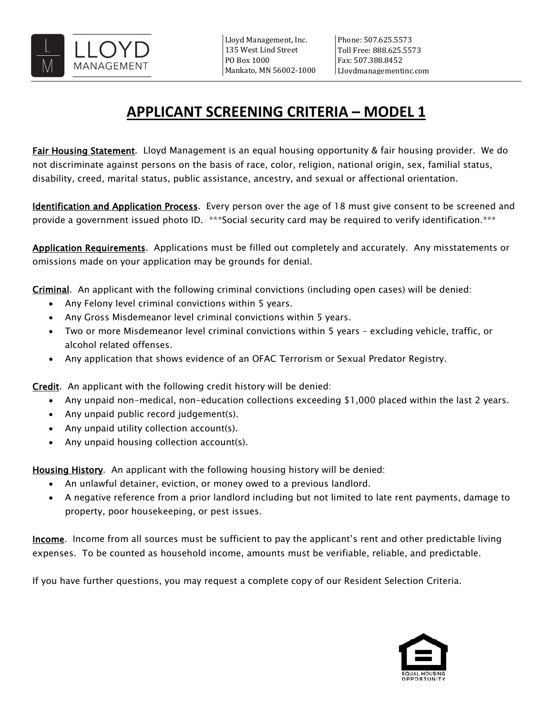

# **APPLICANT SCREENING CRITERIA – MODEL 1**

Fair Housing Statement. Lloyd Management is an equal housing opportunity & fair housing provider. We do not discriminate against persons on the basis of race, color, religion, national origin, sex, familial status, disability, creed, marital status, public assistance, ancestry, and sexual or affectional orientation.

Identification and Application Process. Every person over the age of 18 must give consent to be screened and provide a government issued photo ID. \*\*\*Social security card may be required to verify identification.\*\*\*

Application Requirements. Applications must be filled out completely and accurately. Any misstatements or omissions made on your application may be grounds for denial.

Criminal. An applicant with the following criminal convictions (including open cases) will be denied:

- Any Felony level criminal convictions within 5 years.
- Any Gross Misdemeanor level criminal convictions within 5 years.
- Two or more Misdemeanor level criminal convictions within 5 years excluding vehicle, traffic, or alcohol related offenses.
- Any application that shows evidence of an OFAC Terrorism or Sexual Predator Registry.

Credit. An applicant with the following credit history will be denied:

- Any unpaid non-medical, non-education collections exceeding \$1,000 placed within the last 2 years.
- Any unpaid public record judgement(s).
- Any unpaid utility collection account(s).
- Any unpaid housing collection account(s).

Housing History. An applicant with the following housing history will be denied:

- An unlawful detainer, eviction, or money owed to a previous landlord.
- A negative reference from a prior landlord including but not limited to late rent payments, damage to property, poor housekeeping, or pest issues.

**Income**. Income from all sources must be sufficient to pay the applicant's rent and other predictable living expenses. To be counted as household income, amounts must be verifiable, reliable, and predictable.

If you have further questions, you may request a complete copy of our Resident Selection Criteria.

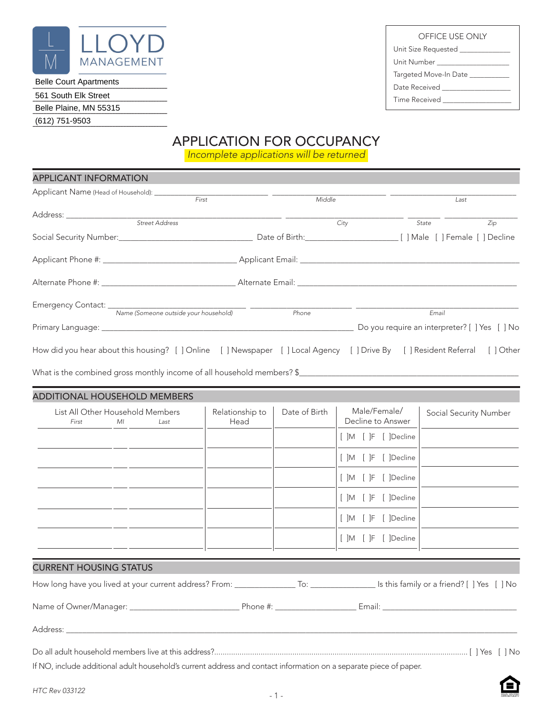

### *\_\_\_\_\_\_\_\_\_\_\_\_\_\_\_\_\_\_\_\_\_\_\_\_\_\_\_\_\_\_\_\_\_\_\_\_\_\_\_\_\_\_\_\_\_\_\_\_\_* Belle Court Apartments

*\_\_\_\_\_\_\_\_\_\_\_\_\_\_\_\_\_\_\_\_\_\_\_\_\_\_\_\_\_\_\_\_\_\_\_\_\_\_\_\_\_\_\_\_\_\_\_\_\_* 561 South Elk Street

*\_\_\_\_\_\_\_\_\_\_\_\_\_\_\_\_\_\_\_\_\_\_\_\_\_\_\_\_\_\_\_\_\_\_\_\_\_\_\_\_\_\_\_\_\_\_\_\_\_* Belle Plaine, MN 55315

*\_\_\_\_\_\_\_\_\_\_\_\_\_\_\_\_\_\_\_\_\_\_\_\_\_\_\_\_\_\_\_\_\_\_\_\_\_\_\_\_\_\_\_\_\_\_\_\_\_* (612) 751-9503

# APPLICATION FOR OCCUPANCY

*Incomplete applications will be returned*

| <b>APPLICANT INFORMATION</b>                                                                                                |                 |               |              |                                               |     |
|-----------------------------------------------------------------------------------------------------------------------------|-----------------|---------------|--------------|-----------------------------------------------|-----|
|                                                                                                                             |                 | Middle        |              | Last                                          |     |
|                                                                                                                             |                 | City          |              | State                                         | Zip |
|                                                                                                                             |                 |               |              |                                               |     |
|                                                                                                                             |                 |               |              |                                               |     |
|                                                                                                                             |                 |               |              |                                               |     |
| Name (Someone outside your household)                                                                                       |                 | Phone         |              | Email                                         |     |
|                                                                                                                             |                 |               |              | Do you require an interpreter? [ ] Yes [ ] No |     |
| How did you hear about this housing? [ ] Online [ ] Newspaper [ ] Local Agency [ ] Drive By [ ] Resident Referral [ ] Other |                 |               |              |                                               |     |
|                                                                                                                             |                 |               |              |                                               |     |
| <b>ADDITIONAL HOUSEHOLD MEMBERS</b>                                                                                         |                 |               |              |                                               |     |
| List All Other Household Members                                                                                            | Relationship to | Date of Birth | Male/Female/ | Social Security Number                        |     |

| List All Other Household Members | Relationship to | Date of Birth | Male/Female/         | Social Security Number |
|----------------------------------|-----------------|---------------|----------------------|------------------------|
| First<br>MI<br>Last              | Head            |               | Decline to Answer    |                        |
|                                  |                 |               | [ ]M [ ]F [ ]Decline |                        |
|                                  |                 |               | [ ]M [ ]F [ ]Decline |                        |
|                                  |                 |               | [ ]M [ ]F [ ]Decline |                        |
|                                  |                 |               | [ ]M [ ]F [ ]Decline |                        |
|                                  |                 |               | [ ]M [ ]F [ ]Decline |                        |
|                                  |                 |               | [ ]M [ ]F [ ]Decline |                        |
|                                  |                 |               |                      |                        |

### CURRENT HOUSING STATUS

| How long have you lived at your current address? From: _ |  | [ ] Is this family or a friend? [ ] Yes [ ] No |  |
|----------------------------------------------------------|--|------------------------------------------------|--|
|                                                          |  |                                                |  |

| Name of Owner/Manager: | Phone #: | Email: |  |
|------------------------|----------|--------|--|
|                        |          |        |  |

Address: \_\_\_\_\_\_\_\_\_\_\_\_\_\_\_\_\_\_\_\_\_\_\_\_\_\_\_\_\_\_\_\_\_\_\_\_\_\_\_\_\_\_\_\_\_\_\_\_\_\_\_\_\_\_\_\_\_\_\_\_\_\_\_\_\_\_\_\_\_\_\_\_\_\_\_\_\_\_\_\_\_\_\_\_\_\_\_\_\_\_\_\_\_\_\_\_\_\_\_\_\_\_\_\_\_\_\_\_\_\_\_

|  |  |  |  |  |  |  |  |                                                                                                                                                                                                                                                                                                                                                                                         |  |  |  | ilYes ilNo |  |
|--|--|--|--|--|--|--|--|-----------------------------------------------------------------------------------------------------------------------------------------------------------------------------------------------------------------------------------------------------------------------------------------------------------------------------------------------------------------------------------------|--|--|--|------------|--|
|  |  |  |  |  |  |  |  | $\mathbf{R} \times \mathbf{R}$ and $\mathbf{R} \times \mathbf{R}$ and $\mathbf{R} \times \mathbf{R}$ and $\mathbf{R} \times \mathbf{R}$ and $\mathbf{R} \times \mathbf{R}$ and $\mathbf{R} \times \mathbf{R}$ and $\mathbf{R} \times \mathbf{R}$ and $\mathbf{R} \times \mathbf{R}$ and $\mathbf{R} \times \mathbf{R}$ and $\mathbf{R} \times \mathbf{R}$ and $\mathbf{R} \times \math$ |  |  |  |            |  |

If NO, include additional adult household's current address and contact information on a separate piece of paper.

OFFICE USE ONLY

Unit Size Requested \_\_\_\_\_\_\_\_\_\_

Unit Number \_\_\_\_\_\_\_\_\_\_\_\_\_\_\_\_\_\_\_\_

Targeted Move-In Date \_\_\_\_\_\_\_\_\_\_\_

Date Received \_ Time Received \_\_\_\_\_\_\_\_\_\_\_\_\_\_\_\_\_\_\_

|  | i ime kecelved |  |
|--|----------------|--|
|  |                |  |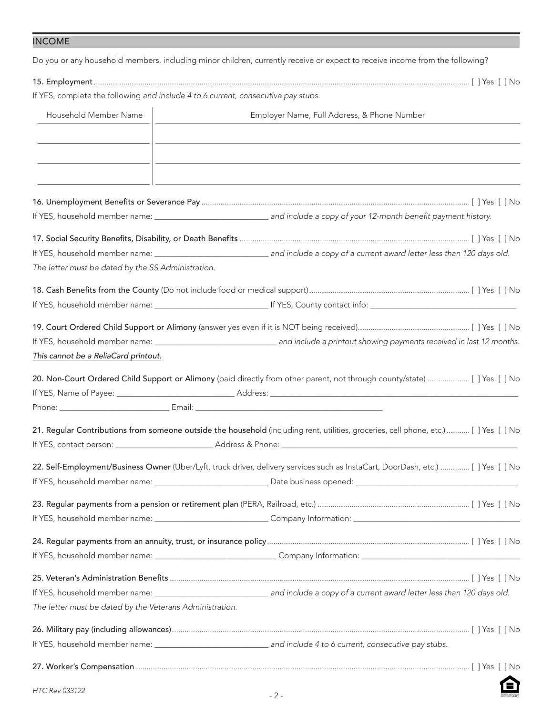INCOME

Do you or any household members, including minor children, currently receive or expect to receive income from the following?

| If YES, complete the following and include 4 to 6 current, consecutive pay stubs. |                                                                                                                                      |
|-----------------------------------------------------------------------------------|--------------------------------------------------------------------------------------------------------------------------------------|
| Household Member Name                                                             | Employer Name, Full Address, & Phone Number                                                                                          |
|                                                                                   |                                                                                                                                      |
|                                                                                   |                                                                                                                                      |
|                                                                                   |                                                                                                                                      |
|                                                                                   |                                                                                                                                      |
|                                                                                   |                                                                                                                                      |
|                                                                                   |                                                                                                                                      |
|                                                                                   |                                                                                                                                      |
| The letter must be dated by the SS Administration.                                |                                                                                                                                      |
|                                                                                   |                                                                                                                                      |
|                                                                                   |                                                                                                                                      |
|                                                                                   |                                                                                                                                      |
|                                                                                   |                                                                                                                                      |
|                                                                                   |                                                                                                                                      |
| This cannot be a ReliaCard printout.                                              |                                                                                                                                      |
|                                                                                   | 20. Non-Court Ordered Child Support or Alimony (paid directly from other parent, not through county/state)  [ ] Yes [ ] No           |
|                                                                                   |                                                                                                                                      |
|                                                                                   |                                                                                                                                      |
|                                                                                   |                                                                                                                                      |
|                                                                                   | 21. Regular Contributions from someone outside the household (including rent, utilities, groceries, cell phone, etc.) [ ] Yes [ ] No |
|                                                                                   |                                                                                                                                      |
|                                                                                   | 22. Self-Employment/Business Owner (Uber/Lyft, truck driver, delivery services such as InstaCart, DoorDash, etc.)  [ ] Yes [ ] No    |
|                                                                                   |                                                                                                                                      |
|                                                                                   |                                                                                                                                      |
|                                                                                   |                                                                                                                                      |
|                                                                                   |                                                                                                                                      |
|                                                                                   |                                                                                                                                      |
|                                                                                   |                                                                                                                                      |
|                                                                                   |                                                                                                                                      |
|                                                                                   |                                                                                                                                      |
| The letter must be dated by the Veterans Administration.                          |                                                                                                                                      |
|                                                                                   |                                                                                                                                      |
|                                                                                   | If YES, household member name: __________________________________ and include 4 to 6 current, consecutive pay stubs.                 |
|                                                                                   |                                                                                                                                      |
|                                                                                   |                                                                                                                                      |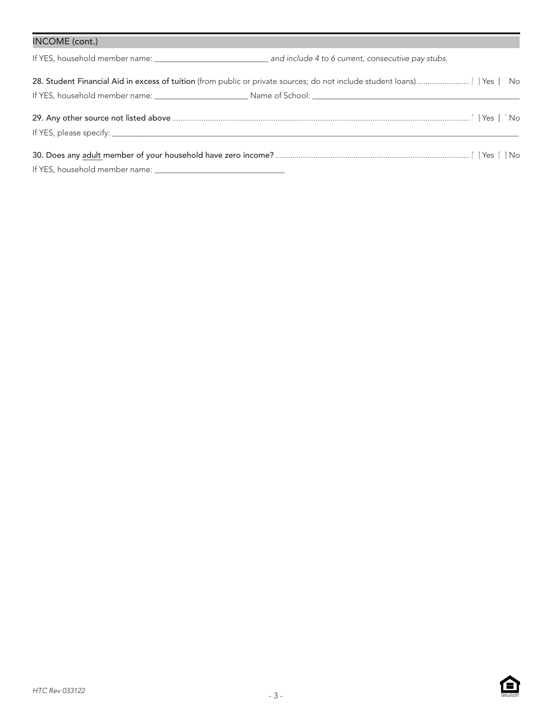| INCOME (cont.) |  |
|----------------|--|
|                |  |
|                |  |
|                |  |
|                |  |

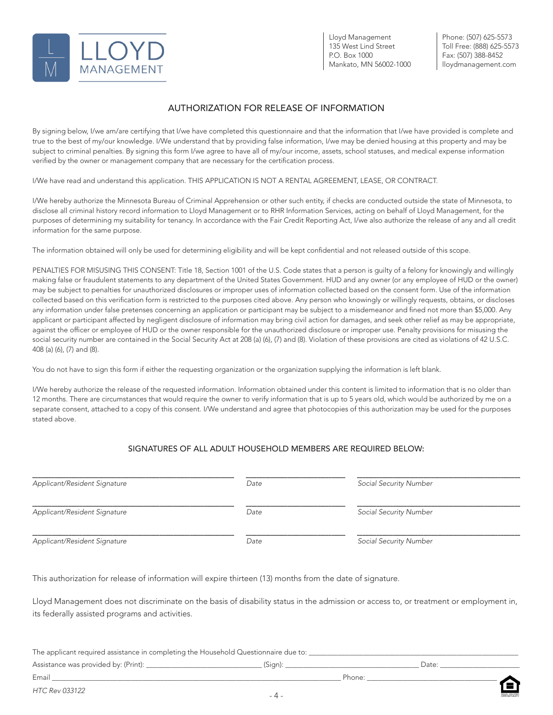

Lloyd Management 135 West Lind Street P.O. Box 1000 Mankato, MN 56002-1000 Phone: (507) 625-5573 Toll Free: (888) 625-5573 Fax: (507) 388-8452 lloydmanagement.com

### AUTHORIZATION FOR RELEASE OF INFORMATION

By signing below, I/we am/are certifying that I/we have completed this questionnaire and that the information that I/we have provided is complete and true to the best of my/our knowledge. I/We understand that by providing false information, I/we may be denied housing at this property and may be subject to criminal penalties. By signing this form I/we agree to have all of my/our income, assets, school statuses, and medical expense information verified by the owner or management company that are necessary for the certification process.

I/We have read and understand this application. THIS APPLICATION IS NOT A RENTAL AGREEMENT, LEASE, OR CONTRACT.

I/We hereby authorize the Minnesota Bureau of Criminal Apprehension or other such entity, if checks are conducted outside the state of Minnesota, to disclose all criminal history record information to Lloyd Management or to RHR Information Services, acting on behalf of Lloyd Management, for the purposes of determining my suitability for tenancy. In accordance with the Fair Credit Reporting Act, I/we also authorize the release of any and all credit information for the same purpose.

The information obtained will only be used for determining eligibility and will be kept confidential and not released outside of this scope.

PENALTIES FOR MISUSING THIS CONSENT: Title 18, Section 1001 of the U.S. Code states that a person is guilty of a felony for knowingly and willingly making false or fraudulent statements to any department of the United States Government. HUD and any owner (or any employee of HUD or the owner) may be subject to penalties for unauthorized disclosures or improper uses of information collected based on the consent form. Use of the information collected based on this verification form is restricted to the purposes cited above. Any person who knowingly or willingly requests, obtains, or discloses any information under false pretenses concerning an application or participant may be subject to a misdemeanor and fined not more than \$5,000. Any applicant or participant affected by negligent disclosure of information may bring civil action for damages, and seek other relief as may be appropriate, against the officer or employee of HUD or the owner responsible for the unauthorized disclosure or improper use. Penalty provisions for misusing the social security number are contained in the Social Security Act at 208 (a) (6), (7) and (8). Violation of these provisions are cited as violations of 42 U.S.C. 408 (a) (6), (7) and (8).

You do not have to sign this form if either the requesting organization or the organization supplying the information is left blank.

I/We hereby authorize the release of the requested information. Information obtained under this content is limited to information that is no older than 12 months. There are circumstances that would require the owner to verify information that is up to 5 years old, which would be authorized by me on a separate consent, attached to a copy of this consent. I/We understand and agree that photocopies of this authorization may be used for the purposes stated above.

#### SIGNATURES OF ALL ADULT HOUSEHOLD MEMBERS ARE REQUIRED BELOW:

| Applicant/Resident Signature | Date | Social Security Number |  |  |  |  |
|------------------------------|------|------------------------|--|--|--|--|
| Applicant/Resident Signature | Date | Social Security Number |  |  |  |  |
| Applicant/Resident Signature | Date | Social Security Number |  |  |  |  |

This authorization for release of information will expire thirteen (13) months from the date of signature.

Lloyd Management does not discriminate on the basis of disability status in the admission or access to, or treatment or employment in, its federally assisted programs and activities.

| The applicant required assistance in completing the Household Questionnaire due to: |        |        |      |
|-------------------------------------------------------------------------------------|--------|--------|------|
| Assistance was provided by: (Print):                                                | 'Sian, |        | Date |
| Email                                                                               |        | Phone: |      |